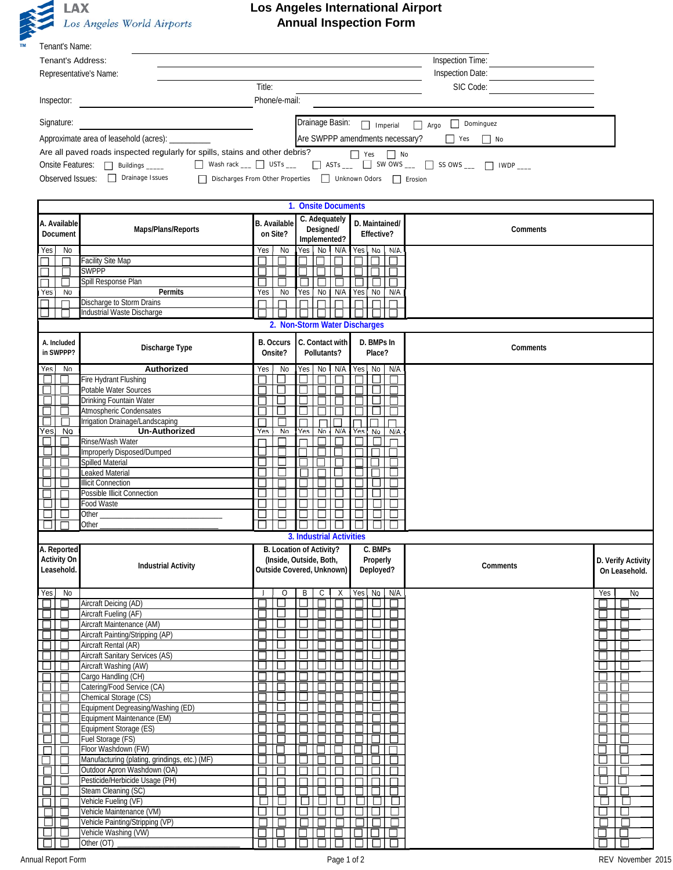

## **Los Angeles International Airport Annual Inspection Form**

| Tenant's Name:                        |                                                                                                           |                     |                                                      |                                 |                                                                   |                       |  |  |  |  |  |
|---------------------------------------|-----------------------------------------------------------------------------------------------------------|---------------------|------------------------------------------------------|---------------------------------|-------------------------------------------------------------------|-----------------------|--|--|--|--|--|
| Inspection Time:<br>Tenant's Address: |                                                                                                           |                     |                                                      |                                 |                                                                   |                       |  |  |  |  |  |
|                                       | Representative's Name:                                                                                    | Inspection Date:    |                                                      |                                 |                                                                   |                       |  |  |  |  |  |
| Title:<br>SIC Code:                   |                                                                                                           |                     |                                                      |                                 |                                                                   |                       |  |  |  |  |  |
| Inspector:                            |                                                                                                           |                     | Phone/e-mail:                                        |                                 |                                                                   |                       |  |  |  |  |  |
|                                       |                                                                                                           |                     |                                                      |                                 |                                                                   |                       |  |  |  |  |  |
| Signature:                            |                                                                                                           |                     | Drainage Basin:                                      | $\Box$ Imperial                 | $\Box$ Dominguez<br>$\Box$ Argo                                   |                       |  |  |  |  |  |
|                                       | Approximate area of leasehold (acres): __________                                                         |                     |                                                      | Are SWPPP amendments necessary? | $\Box$ No<br>$\blacksquare$ Yes                                   |                       |  |  |  |  |  |
|                                       | Are all paved roads inspected regularly for spills, stains and other debris?                              |                     |                                                      | $\Box$ Yes $\Box$ No            |                                                                   |                       |  |  |  |  |  |
|                                       | Onsite Features: <u>Julidings</u> _____                                                                   |                     |                                                      |                                 | ■ Wash rack <u>■</u> USTs ■ ■ ASTs ■ ■ SW OWS ■ ■ SS OWS ■ ■ IWDP |                       |  |  |  |  |  |
|                                       | Observed Issues: <u>I</u> Drainage Issues<br>□ Discharges From Other Properties □ Unknown Odors □ Erosion |                     |                                                      |                                 |                                                                   |                       |  |  |  |  |  |
|                                       |                                                                                                           |                     |                                                      |                                 |                                                                   |                       |  |  |  |  |  |
|                                       |                                                                                                           |                     |                                                      |                                 |                                                                   |                       |  |  |  |  |  |
|                                       |                                                                                                           |                     | 1. Onsite Documents<br>C. Adequately                 |                                 |                                                                   |                       |  |  |  |  |  |
| A. Available                          | Maps/Plans/Reports                                                                                        | <b>B.</b> Available | Designed/                                            | D. Maintained/                  | Comments                                                          |                       |  |  |  |  |  |
| Document                              |                                                                                                           | on Site?            | Implemented?                                         | Effective?                      |                                                                   |                       |  |  |  |  |  |
| $\sqrt{10}$<br>Yes,                   |                                                                                                           | Yes<br>No           | Yes No N/A                                           | <b>No</b><br>N/A<br>Yes         |                                                                   |                       |  |  |  |  |  |
|                                       | <b>Facility Site Map</b>                                                                                  |                     |                                                      |                                 |                                                                   |                       |  |  |  |  |  |
|                                       | <b>SWPPP</b>                                                                                              |                     |                                                      |                                 |                                                                   |                       |  |  |  |  |  |
| Yes<br><b>No</b>                      | Spill Response Plan<br>Permits                                                                            | Yes<br>No           | Yes<br>No<br>N/A                                     | Yes<br>No<br>N/A                |                                                                   |                       |  |  |  |  |  |
|                                       | Discharge to Storm Drains                                                                                 |                     |                                                      |                                 |                                                                   |                       |  |  |  |  |  |
|                                       | Industrial Waste Discharge                                                                                |                     |                                                      |                                 |                                                                   |                       |  |  |  |  |  |
|                                       |                                                                                                           |                     | 2. Non-Storm Water Discharges                        |                                 |                                                                   |                       |  |  |  |  |  |
| A. Included                           |                                                                                                           | <b>B.</b> Occurs    | C. Contact with                                      | D. BMPs In                      |                                                                   |                       |  |  |  |  |  |
| in SWPPP?                             | Discharge Type                                                                                            | Onsite?             | Pollutants?                                          | Place?                          | Comments                                                          |                       |  |  |  |  |  |
| Yes, No                               | Authorized                                                                                                | Yes<br>No           | Yes No<br>N/A                                        | No<br>N/A<br>Yes.               |                                                                   |                       |  |  |  |  |  |
| □<br>ш                                | Fire Hydrant Flushing                                                                                     |                     |                                                      |                                 |                                                                   |                       |  |  |  |  |  |
| $\Box$                                | Potable Water Sources                                                                                     | Е                   |                                                      |                                 |                                                                   |                       |  |  |  |  |  |
|                                       | Drinking Fountain Water                                                                                   |                     |                                                      |                                 |                                                                   |                       |  |  |  |  |  |
|                                       | Atmospheric Condensates                                                                                   | L                   |                                                      |                                 |                                                                   |                       |  |  |  |  |  |
| г<br>Yes <br><b>No</b>                | Irrigation Drainage/Landscaping<br><b>Un-Authorized</b>                                                   | Yes<br><b>No</b>    | Yes<br><b>N/A</b><br>No                              | Yes<br>No<br>N/A                |                                                                   |                       |  |  |  |  |  |
|                                       | Rinse/Wash Water                                                                                          |                     |                                                      |                                 |                                                                   |                       |  |  |  |  |  |
|                                       | Improperly Disposed/Dumped                                                                                |                     |                                                      |                                 |                                                                   |                       |  |  |  |  |  |
|                                       | Spilled Material                                                                                          |                     |                                                      |                                 |                                                                   |                       |  |  |  |  |  |
|                                       | Leaked Material                                                                                           |                     |                                                      |                                 |                                                                   |                       |  |  |  |  |  |
|                                       | <b>Illicit Connection</b><br>Possible Illicit Connection                                                  |                     |                                                      |                                 |                                                                   |                       |  |  |  |  |  |
|                                       | Food Waste                                                                                                |                     |                                                      |                                 |                                                                   |                       |  |  |  |  |  |
|                                       | Other                                                                                                     |                     |                                                      |                                 |                                                                   |                       |  |  |  |  |  |
|                                       | Other                                                                                                     |                     |                                                      |                                 |                                                                   |                       |  |  |  |  |  |
|                                       |                                                                                                           |                     | 3. Industrial Activities                             |                                 |                                                                   |                       |  |  |  |  |  |
| A. Reported                           |                                                                                                           |                     | B. Location of Activity?                             | C. BMPs                         |                                                                   |                       |  |  |  |  |  |
| <b>Activity On</b><br>Leasehold.      | <b>Industrial Activity</b>                                                                                |                     | (Inside, Outside, Both,<br>Outside Covered, Unknown) | Properly<br>Deployed?           | Comments                                                          | D. Verify Activity    |  |  |  |  |  |
|                                       |                                                                                                           |                     |                                                      |                                 |                                                                   | On Leasehold.         |  |  |  |  |  |
| $\overline{N}$<br>Yes                 |                                                                                                           | $\circ$<br>J        | B<br>C.<br>Х                                         | N/A<br>Yes<br>No                |                                                                   | N <sub>0</sub><br>Yes |  |  |  |  |  |
| $\Box$                                | Aircraft Deicing (AD)                                                                                     |                     | ப                                                    | $\mathcal{L}_{\mathcal{A}}$     |                                                                   |                       |  |  |  |  |  |
|                                       | Aircraft Fueling (AF)                                                                                     | L                   |                                                      | $\mathcal{L}$                   |                                                                   |                       |  |  |  |  |  |
|                                       | Aircraft Maintenance (AM)                                                                                 |                     |                                                      |                                 |                                                                   |                       |  |  |  |  |  |
|                                       | Aircraft Painting/Stripping (AP)<br>Aircraft Rental (AR)                                                  |                     |                                                      |                                 |                                                                   | H                     |  |  |  |  |  |
|                                       | <b>Aircraft Sanitary Services (AS)</b>                                                                    |                     |                                                      |                                 |                                                                   |                       |  |  |  |  |  |
|                                       | Aircraft Washing (AW)                                                                                     | $\mathbf{L}$        |                                                      |                                 |                                                                   | U                     |  |  |  |  |  |
|                                       | Cargo Handling (CH)                                                                                       |                     |                                                      |                                 |                                                                   |                       |  |  |  |  |  |
|                                       | Catering/Food Service (CA)                                                                                |                     |                                                      |                                 |                                                                   |                       |  |  |  |  |  |
|                                       | Chemical Storage (CS)<br>Equipment Degreasing/Washing (ED)                                                |                     |                                                      |                                 |                                                                   |                       |  |  |  |  |  |
|                                       | Equipment Maintenance (EM)                                                                                |                     |                                                      |                                 |                                                                   |                       |  |  |  |  |  |
| $\Box$                                | Equipment Storage (ES)                                                                                    |                     |                                                      |                                 |                                                                   |                       |  |  |  |  |  |
|                                       | Fuel Storage (FS)                                                                                         |                     |                                                      |                                 |                                                                   |                       |  |  |  |  |  |
| П                                     | Floor Washdown (FW)                                                                                       |                     |                                                      |                                 |                                                                   | L                     |  |  |  |  |  |
| $\mathbf{1}$                          | Manufacturing (plating, grindings, etc.) (MF)<br>Outdoor Apron Washdown (OA)                              | L<br>Г              |                                                      |                                 |                                                                   | $\Box$                |  |  |  |  |  |
| $\mathsf{L}$                          | Pesticide/Herbicide Usage (PH)                                                                            |                     |                                                      |                                 |                                                                   | ⊔                     |  |  |  |  |  |
|                                       | Steam Cleaning (SC)                                                                                       |                     |                                                      |                                 |                                                                   |                       |  |  |  |  |  |
|                                       | Vehicle Fueling (VF)                                                                                      |                     |                                                      |                                 |                                                                   |                       |  |  |  |  |  |
|                                       | Vehicle Maintenance (VM)                                                                                  | L                   |                                                      |                                 |                                                                   |                       |  |  |  |  |  |
|                                       | Vehicle Painting/Stripping (VP)<br>Vehicle Washing (VW)                                                   |                     |                                                      |                                 |                                                                   | $\Box$                |  |  |  |  |  |
| ш                                     | Other (OT)                                                                                                |                     |                                                      |                                 |                                                                   |                       |  |  |  |  |  |